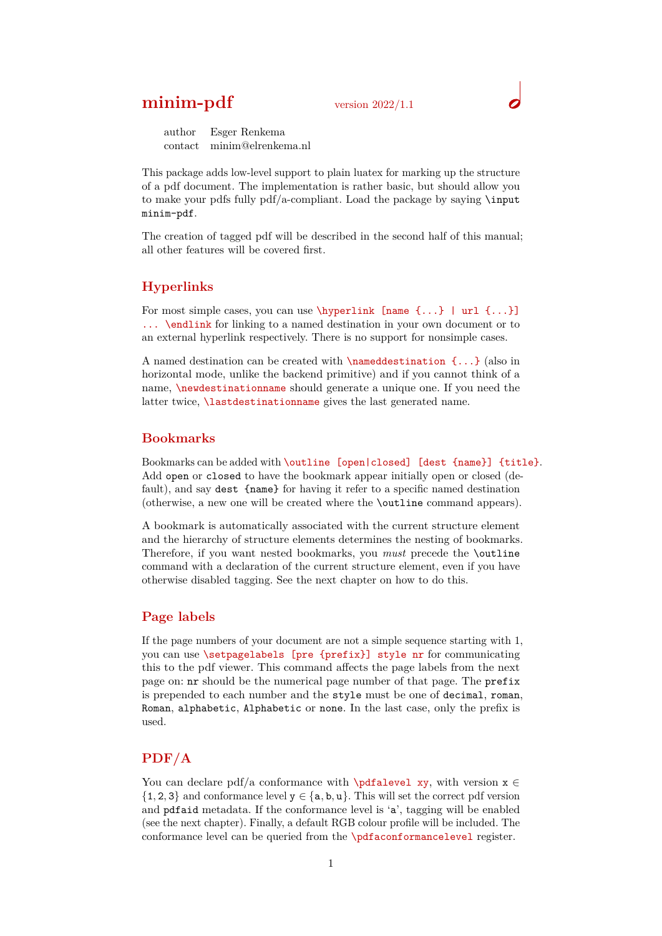## **minim-pdf** version 2022/1.1

author Esger Renkema contact minim@elrenkema.nl

This package adds low-level support to plain luatex for marking up the structure of a pdf document. The implementation is rather basic, but should allow you to make your pdfs fully  $pdf/a$ -compliant. Load the package by saying  $\infty$ minim-pdf.

The creation of tagged pdf will be described in the second half of this manual; all other features will be covered first.

## **Hyperlinks**

For most simple cases, you can use  $\hbox{\tt \{hyperlink \} }$  [name  $\{... \}$ ] url  $\{... \}$ ] ... \endlink for linking to a named destination in your own document or to an external hyperlink respectively. There is no support for nonsimple cases.

A named destination can be created with  $\lambda$  named destination {...} (also in horizontal mode, unlike the backend primitive) and if you cannot think of a name, *\newdestinationname* should generate a unique one. If you need the latter twice, *lastdestinationname* gives the last generated name.

### **Bookmarks**

Bookmarks can be added with \outline [open|closed] [dest {name}] {title}. Add open or closed to have the bookmark appear initially open or closed (default), and say dest {name} for having it refer to a specific named destination (otherwise, a new one will be created where the \outline command appears).

A bookmark is automatically associated with the current structure element and the hierarchy of structure elements determines the nesting of bookmarks. Therefore, if you want nested bookmarks, you *must* precede the \outline command with a declaration of the current structure element, even if you have otherwise disabled tagging. See the next chapter on how to do this.

#### **Page labels**

If the page numbers of your document are not a simple sequence starting with 1, you can use \setpagelabels [pre {prefix}] style nr for communicating this to the pdf viewer. This command affects the page labels from the next page on: nr should be the numerical page number of that page. The prefix is prepended to each number and the style must be one of decimal, roman, Roman, alphabetic, Alphabetic or none. In the last case, only the prefix is used.

## **PDF/A**

You can declare pdf/a conformance with \pdfalevel xy, with version  $x \in$  ${1, 2, 3}$  and conformance level  $y \in \{a, b, u\}$ . This will set the correct pdf version and pdfaid metadata. If the conformance level is 'a', tagging will be enabled (see the next chapter). Finally, a default RGB colour profile will be included. The conformance level can be queried from the \pdfaconformancelevel register.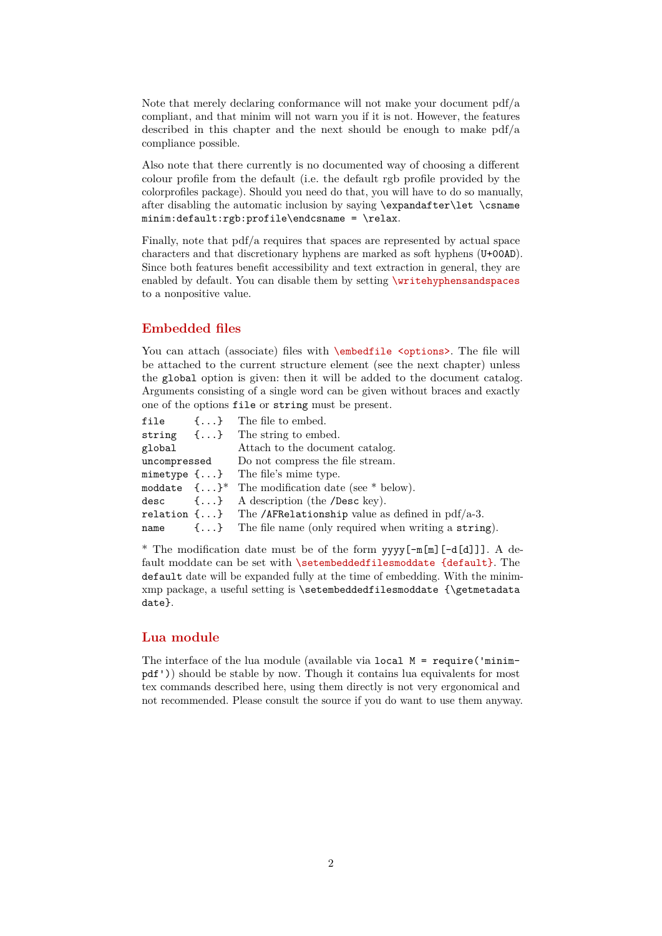Note that merely declaring conformance will not make your document pdf/a compliant, and that minim will not warn you if it is not. However, the features described in this chapter and the next should be enough to make  $pdf/a$ compliance possible.

Also note that there currently is no documented way of choosing a different colour profile from the default (i.e. the default rgb profile provided by the colorprofiles package). Should you need do that, you will have to do so manually, after disabling the automatic inclusion by saying \expandafter\let \csname minim:default:rgb:profile\endcsname = \relax.

Finally, note that pdf/a requires that spaces are represented by actual space characters and that discretionary hyphens are marked as soft hyphens (U+00AD). Since both features benefit accessibility and text extraction in general, they are enabled by default. You can disable them by setting \writehyphensandspaces to a nonpositive value.

## **Embedded files**

You can attach (associate) files with  $\epsilon$  soptions>. The file will be attached to the current structure element (see the next chapter) unless the global option is given: then it will be added to the document catalog. Arguments consisting of a single word can be given without braces and exactly one of the options file or string must be present.

|        |  | file $\{\ldots\}$ The file to embed.                                   |
|--------|--|------------------------------------------------------------------------|
|        |  | string $\{\ldots\}$ The string to embed.                               |
| global |  | Attach to the document catalog.                                        |
|        |  | uncompressed Do not compress the file stream.                          |
|        |  | mimetype $\{ \ldots \}$ The file's mime type.                          |
|        |  | moddate $\{\ldots\}^*$ The modification date (see * below).            |
|        |  | desc $\{\ldots\}$ A description (the /Desc key).                       |
|        |  | relation $\{\ldots\}$ The /AFRelationship value as defined in pdf/a-3. |
|        |  | name $\{\ldots\}$ The file name (only required when writing a string). |

\* The modification date must be of the form yyyy[-m[m][-d[d]]]. A default moddate can be set with \setembeddedfilesmoddate {default}. The default date will be expanded fully at the time of embedding. With the minimxmp package, a useful setting is \setembeddedfilesmoddate {\getmetadata date}.

## **Lua module**

The interface of the lua module (available via local  $M = \text{require('minim--}$ pdf')) should be stable by now. Though it contains lua equivalents for most tex commands described here, using them directly is not very ergonomical and not recommended. Please consult the source if you do want to use them anyway.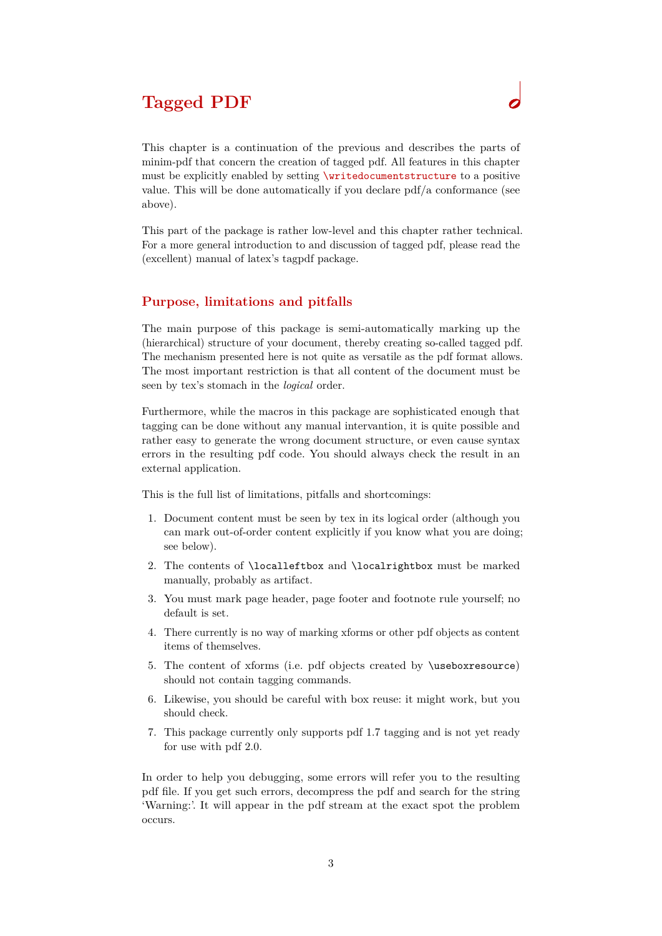# **Tagged PDF**

This chapter is a continuation of the previous and describes the parts of minim-pdf that concern the creation of tagged pdf. All features in this chapter must be explicitly enabled by setting \writedocumentstructure to a positive value. This will be done automatically if you declare pdf/a conformance (see above).

This part of the package is rather low-level and this chapter rather technical. For a more general introduction to and discussion of tagged pdf, please read the (excellent) manual of latex's tagpdf package.

## **Purpose, limitations and pitfalls**

The main purpose of this package is semi-automatically marking up the (hierarchical) structure of your document, thereby creating so-called tagged pdf. The mechanism presented here is not quite as versatile as the pdf format allows. The most important restriction is that all content of the document must be seen by tex's stomach in the *logical* order.

Furthermore, while the macros in this package are sophisticated enough that tagging can be done without any manual intervantion, it is quite possible and rather easy to generate the wrong document structure, or even cause syntax errors in the resulting pdf code. You should always check the result in an external application.

This is the full list of limitations, pitfalls and shortcomings:

- 1. Document content must be seen by tex in its logical order (although you can mark out-of-order content explicitly if you know what you are doing; see below).
- 2. The contents of \localleftbox and \localrightbox must be marked manually, probably as artifact.
- 3. You must mark page header, page footer and footnote rule yourself; no default is set.
- 4. There currently is no way of marking xforms or other pdf objects as content items of themselves.
- 5. The content of xforms (i.e. pdf objects created by \useboxresource) should not contain tagging commands.
- 6. Likewise, you should be careful with box reuse: it might work, but you should check.
- 7. This package currently only supports pdf 1.7 tagging and is not yet ready for use with pdf 2.0.

In order to help you debugging, some errors will refer you to the resulting pdf file. If you get such errors, decompress the pdf and search for the string 'Warning:'. It will appear in the pdf stream at the exact spot the problem occurs.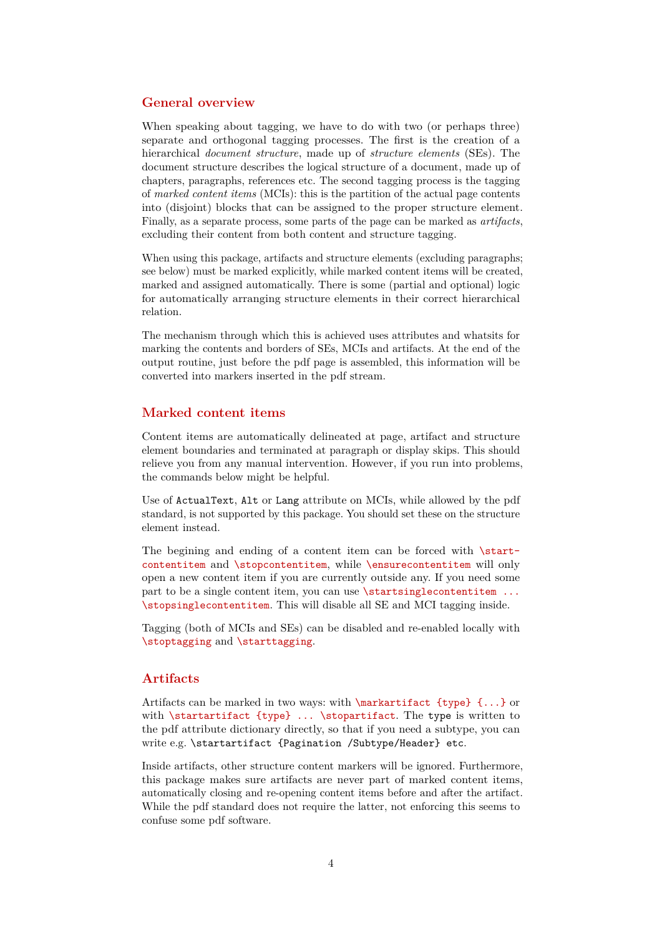#### **General overview**

When speaking about tagging, we have to do with two (or perhaps three) separate and orthogonal tagging processes. The first is the creation of a hierarchical *document structure*, made up of *structure elements* (SEs). The document structure describes the logical structure of a document, made up of chapters, paragraphs, references etc. The second tagging process is the tagging of *marked content items* (MCIs): this is the partition of the actual page contents into (disjoint) blocks that can be assigned to the proper structure element. Finally, as a separate process, some parts of the page can be marked as *artifacts*, excluding their content from both content and structure tagging.

When using this package, artifacts and structure elements (excluding paragraphs; see below) must be marked explicitly, while marked content items will be created, marked and assigned automatically. There is some (partial and optional) logic for automatically arranging structure elements in their correct hierarchical relation.

The mechanism through which this is achieved uses attributes and whatsits for marking the contents and borders of SEs, MCIs and artifacts. At the end of the output routine, just before the pdf page is assembled, this information will be converted into markers inserted in the pdf stream.

#### **Marked content items**

Content items are automatically delineated at page, artifact and structure element boundaries and terminated at paragraph or display skips. This should relieve you from any manual intervention. However, if you run into problems, the commands below might be helpful.

Use of ActualText, Alt or Lang attribute on MCIs, while allowed by the pdf standard, is not supported by this package. You should set these on the structure element instead.

The begining and ending of a content item can be forced with \startcontentitem and \stopcontentitem, while \ensurecontentitem will only open a new content item if you are currently outside any. If you need some part to be a single content item, you can use **\startsinglecontentitem** ... \stopsinglecontentitem. This will disable all SE and MCI tagging inside.

Tagging (both of MCIs and SEs) can be disabled and re-enabled locally with \stoptagging and \starttagging.

## **Artifacts**

Artifacts can be marked in two ways: with \markartifact {type} {...} or with \startartifact {type} ... \stopartifact. The type is written to the pdf attribute dictionary directly, so that if you need a subtype, you can write e.g. \startartifact {Pagination /Subtype/Header} etc.

Inside artifacts, other structure content markers will be ignored. Furthermore, this package makes sure artifacts are never part of marked content items, automatically closing and re-opening content items before and after the artifact. While the pdf standard does not require the latter, not enforcing this seems to confuse some pdf software.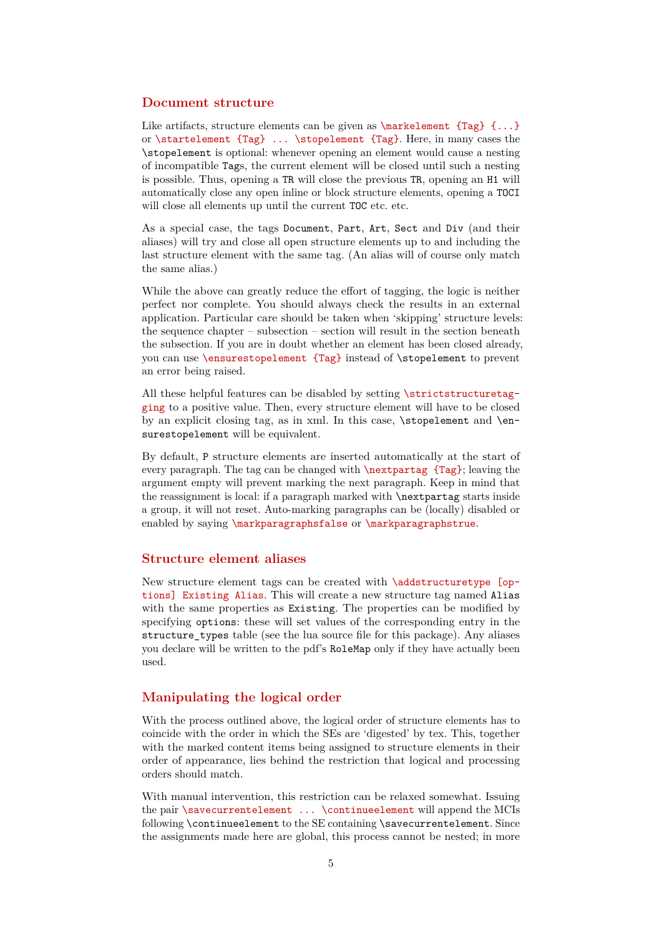#### **Document structure**

Like artifacts, structure elements can be given as  $\text{Length } \{... \}$ or \startelement {Tag} ... \stopelement {Tag}. Here, in many cases the \stopelement is optional: whenever opening an element would cause a nesting of incompatible Tags, the current element will be closed until such a nesting is possible. Thus, opening a TR will close the previous TR, opening an H1 will automatically close any open inline or block structure elements, opening a TOCI will close all elements up until the current TOC etc. etc.

As a special case, the tags Document, Part, Art, Sect and Div (and their aliases) will try and close all open structure elements up to and including the last structure element with the same tag. (An alias will of course only match the same alias.)

While the above can greatly reduce the effort of tagging, the logic is neither perfect nor complete. You should always check the results in an external application. Particular care should be taken when 'skipping' structure levels: the sequence chapter – subsection – section will result in the section beneath the subsection. If you are in doubt whether an element has been closed already, you can use \ensurestopelement {Tag} instead of \stopelement to prevent an error being raised.

All these helpful features can be disabled by setting \strictstructuretagging to a positive value. Then, every structure element will have to be closed by an explicit closing tag, as in xml. In this case,  $\step{step{element} and \en-}$ surestopelement will be equivalent.

By default, P structure elements are inserted automatically at the start of every paragraph. The tag can be changed with \nextpartag {Tag}; leaving the argument empty will prevent marking the next paragraph. Keep in mind that the reassignment is local: if a paragraph marked with \nextpartag starts inside a group, it will not reset. Auto-marking paragraphs can be (locally) disabled or enabled by saying \markparagraphsfalse or \markparagraphstrue.

## **Structure element aliases**

New structure element tags can be created with \addstructuretype [options] Existing Alias. This will create a new structure tag named Alias with the same properties as Existing. The properties can be modified by specifying options: these will set values of the corresponding entry in the structure types table (see the lua source file for this package). Any aliases you declare will be written to the pdf's RoleMap only if they have actually been used.

#### **Manipulating the logical order**

With the process outlined above, the logical order of structure elements has to coincide with the order in which the SEs are 'digested' by tex. This, together with the marked content items being assigned to structure elements in their order of appearance, lies behind the restriction that logical and processing orders should match.

With manual intervention, this restriction can be relaxed somewhat. Issuing the pair **\savecurrentelement** ... **\continueelement** will append the MCIs following \continueelement to the SE containing \savecurrentelement. Since the assignments made here are global, this process cannot be nested; in more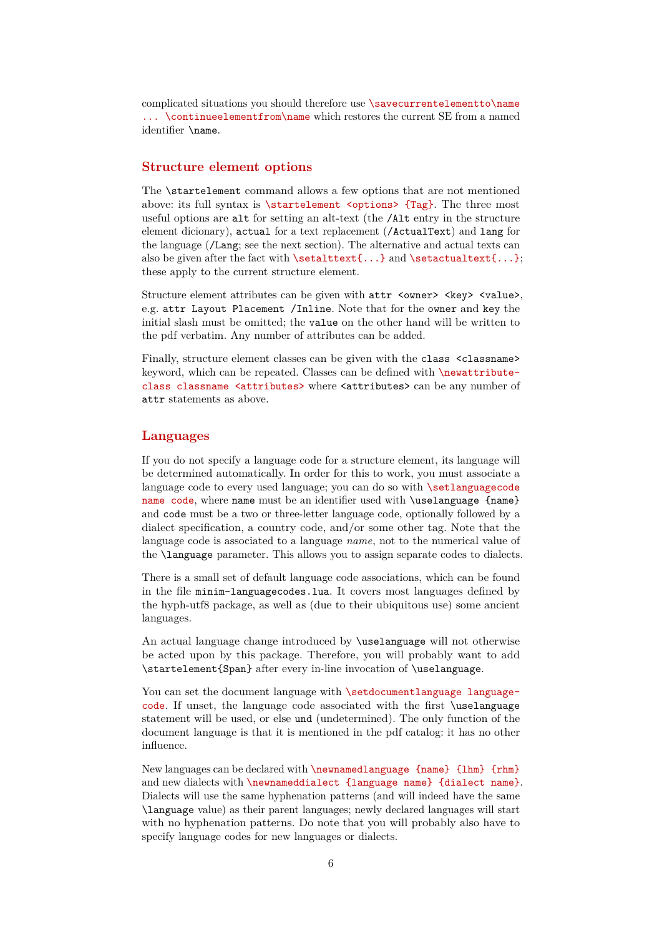complicated situations you should therefore use \savecurrentelementto\name ... \continueelementfrom\name which restores the current SE from a named identifier \name.

## **Structure element options**

The \startelement command allows a few options that are not mentioned above: its full syntax is  $\start$  is  $\centerdot$   $\centerdot$   $\centerdot$   $\centerdot$   $\centerdot$   $\centerdot$   $\centerdot$   $\centerdot$   $\centerdot$   $\centerdot$   $\centerdot$   $\centerdot$   $\centerdot$   $\centerdot$   $\centerdot$   $\centerdot$   $\centerdot$   $\centerdot$   $\centerdot$   $\centerdot$   $\centerdot$   $\centerdot$   $\centerdot$   $\centerdot$   $\centerdot$   $\centerdot$   $\centerdot$   $\centerdot$   $\centerdot$   $\centerdot$   $\centerdot$  useful options are alt for setting an alt-text (the /Alt entry in the structure element dicionary), actual for a text replacement (/ActualText) and lang for the language (/Lang; see the next section). The alternative and actual texts can also be given after the fact with  $\setminus \setminus \set{...}$  and  $\setminus \set{...}$ ; these apply to the current structure element.

Structure element attributes can be given with  $attr$  <ware> <key> <value>, e.g. attr Layout Placement /Inline. Note that for the owner and key the initial slash must be omitted; the value on the other hand will be written to the pdf verbatim. Any number of attributes can be added.

Finally, structure element classes can be given with the class <classname> keyword, which can be repeated. Classes can be defined with \newattributeclass classname <attributes> where <attributes> can be any number of attr statements as above.

#### **Languages**

If you do not specify a language code for a structure element, its language will be determined automatically. In order for this to work, you must associate a language code to every used language; you can do so with \setlanguagecode name code, where name must be an identifier used with \uselanguage {name} and code must be a two or three-letter language code, optionally followed by a dialect specification, a country code, and/or some other tag. Note that the language code is associated to a language *name*, not to the numerical value of the \language parameter. This allows you to assign separate codes to dialects.

There is a small set of default language code associations, which can be found in the file minim-languagecodes.lua. It covers most languages defined by the hyph-utf8 package, as well as (due to their ubiquitous use) some ancient languages.

An actual language change introduced by \uselanguage will not otherwise be acted upon by this package. Therefore, you will probably want to add \startelement{Span} after every in-line invocation of \uselanguage.

You can set the document language with \setdocumentlanguage languagecode. If unset, the language code associated with the first \uselanguage statement will be used, or else und (undetermined). The only function of the document language is that it is mentioned in the pdf catalog: it has no other influence.

New languages can be declared with \newnamedlanguage {name} {lhm} {rhm} and new dialects with \newnameddialect {language name} {dialect name}. Dialects will use the same hyphenation patterns (and will indeed have the same \language value) as their parent languages; newly declared languages will start with no hyphenation patterns. Do note that you will probably also have to specify language codes for new languages or dialects.